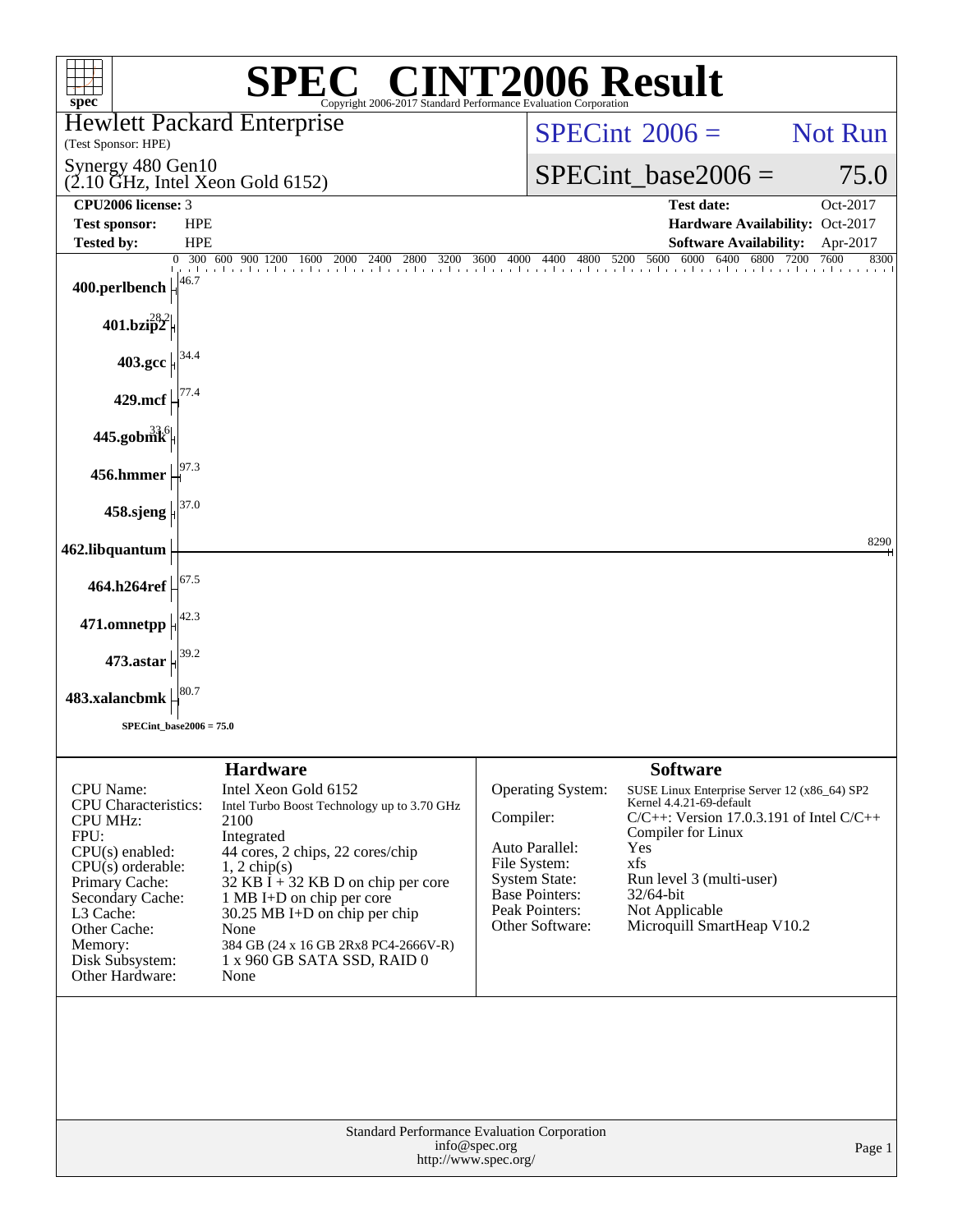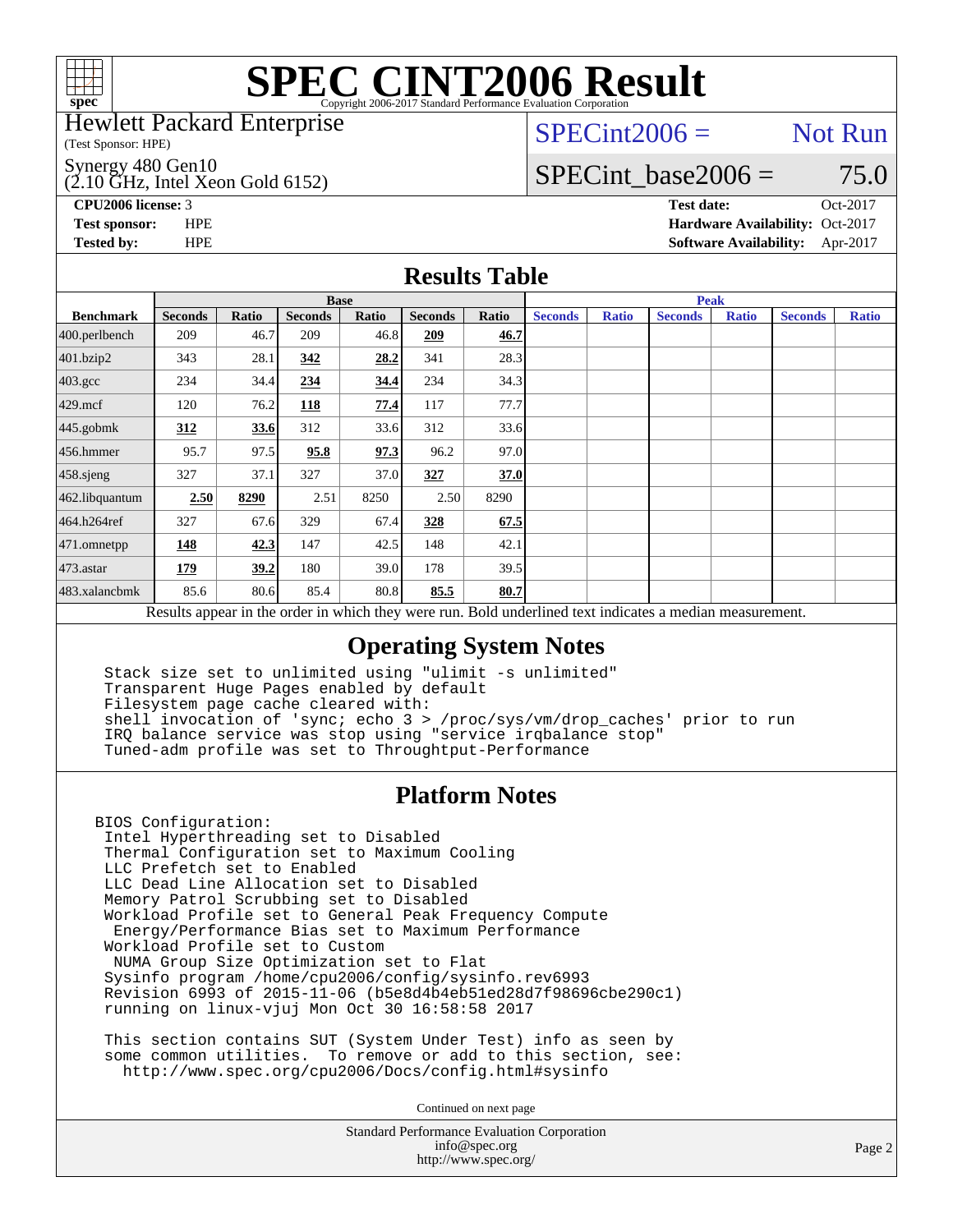

Hewlett Packard Enterprise

(Test Sponsor: HPE)

 $(2.10 \text{ GHz}, \text{Intel Xeon Gold } 6152)$ Synergy 480 Gen10

 $SPECint2006 =$  Not Run

### SPECint base2006 =  $75.0$

**[CPU2006 license:](http://www.spec.org/auto/cpu2006/Docs/result-fields.html#CPU2006license)** 3 **[Test date:](http://www.spec.org/auto/cpu2006/Docs/result-fields.html#Testdate)** Oct-2017 **[Test sponsor:](http://www.spec.org/auto/cpu2006/Docs/result-fields.html#Testsponsor)** HPE **[Hardware Availability:](http://www.spec.org/auto/cpu2006/Docs/result-fields.html#HardwareAvailability)** Oct-2017 **[Tested by:](http://www.spec.org/auto/cpu2006/Docs/result-fields.html#Testedby)** HPE **[Software Availability:](http://www.spec.org/auto/cpu2006/Docs/result-fields.html#SoftwareAvailability)** Apr-2017

### **[Results Table](http://www.spec.org/auto/cpu2006/Docs/result-fields.html#ResultsTable)**

|                                                                                                          | <b>Base</b>    |       |                |       |                |       | <b>Peak</b>    |              |                |              |                |              |
|----------------------------------------------------------------------------------------------------------|----------------|-------|----------------|-------|----------------|-------|----------------|--------------|----------------|--------------|----------------|--------------|
| <b>Benchmark</b>                                                                                         | <b>Seconds</b> | Ratio | <b>Seconds</b> | Ratio | <b>Seconds</b> | Ratio | <b>Seconds</b> | <b>Ratio</b> | <b>Seconds</b> | <b>Ratio</b> | <b>Seconds</b> | <b>Ratio</b> |
| 400.perlbench                                                                                            | 209            | 46.7  | 209            | 46.8  | 209            | 46.7  |                |              |                |              |                |              |
| 401.bzip2                                                                                                | 343            | 28.1  | 342            | 28.2  | 341            | 28.3  |                |              |                |              |                |              |
| $403.\text{gcc}$                                                                                         | 234            | 34.4  | 234            | 34.4  | 234            | 34.3  |                |              |                |              |                |              |
| $429$ .mcf                                                                                               | 120            | 76.2  | 118            | 77.4  | 117            | 77.7  |                |              |                |              |                |              |
| $445$ .gobmk                                                                                             | 312            | 33.6  | 312            | 33.6  | 312            | 33.6  |                |              |                |              |                |              |
| $456.$ hmmer                                                                                             | 95.7           | 97.5  | 95.8           | 97.3  | 96.2           | 97.0  |                |              |                |              |                |              |
| $458$ .sjeng                                                                                             | 327            | 37.1  | 327            | 37.0  | 327            | 37.0  |                |              |                |              |                |              |
| 462.libquantum                                                                                           | 2.50           | 8290  | 2.51           | 8250  | 2.50           | 8290  |                |              |                |              |                |              |
| 464.h264ref                                                                                              | 327            | 67.6  | 329            | 67.4  | 328            | 67.5  |                |              |                |              |                |              |
| 471.omnetpp                                                                                              | <u>148</u>     | 42.3  | 147            | 42.5  | 148            | 42.1  |                |              |                |              |                |              |
| $473$ . astar                                                                                            | 179            | 39.2  | 180            | 39.0  | 178            | 39.5  |                |              |                |              |                |              |
| 483.xalancbmk                                                                                            | 85.6           | 80.6  | 85.4           | 80.8  | 85.5           | 80.7  |                |              |                |              |                |              |
| Results appear in the order in which they were run. Bold underlined text indicates a median measurement. |                |       |                |       |                |       |                |              |                |              |                |              |

### **[Operating System Notes](http://www.spec.org/auto/cpu2006/Docs/result-fields.html#OperatingSystemNotes)**

 Stack size set to unlimited using "ulimit -s unlimited" Transparent Huge Pages enabled by default Filesystem page cache cleared with: shell invocation of 'sync; echo 3 > /proc/sys/vm/drop\_caches' prior to run IRQ balance service was stop using "service irqbalance stop" Tuned-adm profile was set to Throughtput-Performance

### **[Platform Notes](http://www.spec.org/auto/cpu2006/Docs/result-fields.html#PlatformNotes)**

BIOS Configuration: Intel Hyperthreading set to Disabled Thermal Configuration set to Maximum Cooling LLC Prefetch set to Enabled LLC Dead Line Allocation set to Disabled Memory Patrol Scrubbing set to Disabled Workload Profile set to General Peak Frequency Compute Energy/Performance Bias set to Maximum Performance Workload Profile set to Custom NUMA Group Size Optimization set to Flat Sysinfo program /home/cpu2006/config/sysinfo.rev6993 Revision 6993 of 2015-11-06 (b5e8d4b4eb51ed28d7f98696cbe290c1) running on linux-vjuj Mon Oct 30 16:58:58 2017

 This section contains SUT (System Under Test) info as seen by some common utilities. To remove or add to this section, see: <http://www.spec.org/cpu2006/Docs/config.html#sysinfo>

Continued on next page

Standard Performance Evaluation Corporation [info@spec.org](mailto:info@spec.org) <http://www.spec.org/>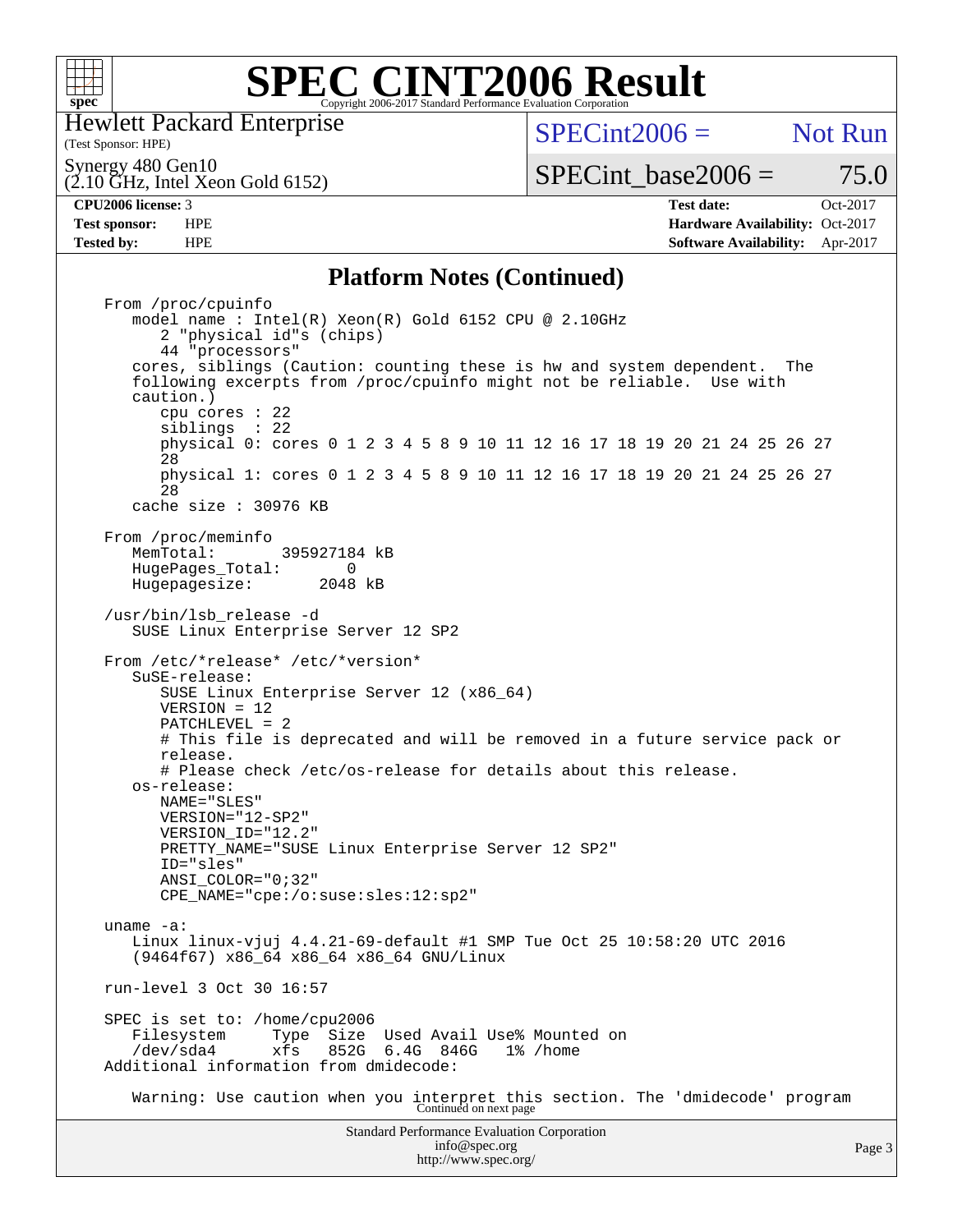

Hewlett Packard Enterprise

(Test Sponsor: HPE)

 $SPECint2006 =$  Not Run

Synergy 480 Gen10

(2.10 GHz, Intel Xeon Gold 6152)

**[Tested by:](http://www.spec.org/auto/cpu2006/Docs/result-fields.html#Testedby)** HPE **[Software Availability:](http://www.spec.org/auto/cpu2006/Docs/result-fields.html#SoftwareAvailability)** Apr-2017

 $SPECTnt\_base2006 = 75.0$ **[CPU2006 license:](http://www.spec.org/auto/cpu2006/Docs/result-fields.html#CPU2006license)** 3 **[Test date:](http://www.spec.org/auto/cpu2006/Docs/result-fields.html#Testdate)** Oct-2017 **[Test sponsor:](http://www.spec.org/auto/cpu2006/Docs/result-fields.html#Testsponsor)** HPE **[Hardware Availability:](http://www.spec.org/auto/cpu2006/Docs/result-fields.html#HardwareAvailability)** Oct-2017

#### **[Platform Notes \(Continued\)](http://www.spec.org/auto/cpu2006/Docs/result-fields.html#PlatformNotes)**

Standard Performance Evaluation Corporation [info@spec.org](mailto:info@spec.org) From /proc/cpuinfo model name : Intel(R) Xeon(R) Gold 6152 CPU @ 2.10GHz 2 "physical id"s (chips) 44 "processors" cores, siblings (Caution: counting these is hw and system dependent. The following excerpts from /proc/cpuinfo might not be reliable. Use with caution.) cpu cores : 22 siblings : 22 physical 0: cores 0 1 2 3 4 5 8 9 10 11 12 16 17 18 19 20 21 24 25 26 27 28 physical 1: cores 0 1 2 3 4 5 8 9 10 11 12 16 17 18 19 20 21 24 25 26 27 28 cache size : 30976 KB From /proc/meminfo<br>MemTotal: 395927184 kB HugePages\_Total: 0<br>Hugepagesize: 2048 kB Hugepagesize: /usr/bin/lsb\_release -d SUSE Linux Enterprise Server 12 SP2 From /etc/\*release\* /etc/\*version\* SuSE-release: SUSE Linux Enterprise Server 12 (x86\_64) VERSION = 12 PATCHLEVEL = 2 # This file is deprecated and will be removed in a future service pack or release. # Please check /etc/os-release for details about this release. os-release: NAME="SLES" VERSION="12-SP2" VERSION\_ID="12.2" PRETTY\_NAME="SUSE Linux Enterprise Server 12 SP2" ID="sles" ANSI\_COLOR="0;32" CPE\_NAME="cpe:/o:suse:sles:12:sp2" uname -a: Linux linux-vjuj 4.4.21-69-default #1 SMP Tue Oct 25 10:58:20 UTC 2016 (9464f67) x86\_64 x86\_64 x86\_64 GNU/Linux run-level 3 Oct 30 16:57 SPEC is set to: /home/cpu2006 Filesystem Type Size Used Avail Use% Mounted on /dev/sda4 xfs 852G 6.4G 846G 1% /home Additional information from dmidecode: Warning: Use caution when you interpret this section. The 'dmidecode' program Continued on next page

<http://www.spec.org/>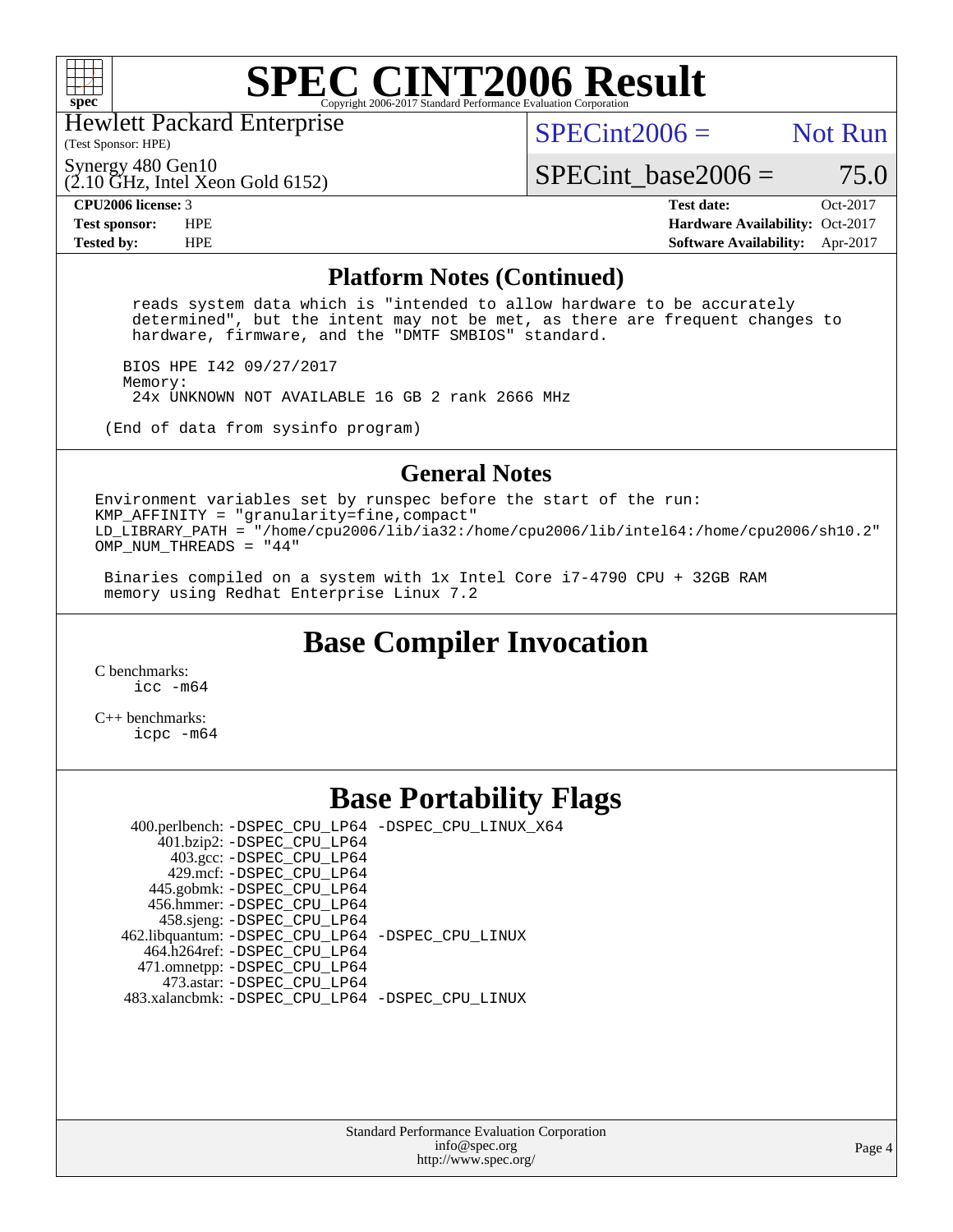

Hewlett Packard Enterprise

(Test Sponsor: HPE)

 $SPECint2006 =$  Not Run

Synergy 480 Gen10

 $(2.10 \text{ GHz}, \text{Intel Xeon Gold } 6152)$ 

 $SPECTnt\_base2006 = 75.0$ 

**[CPU2006 license:](http://www.spec.org/auto/cpu2006/Docs/result-fields.html#CPU2006license)** 3 **[Test date:](http://www.spec.org/auto/cpu2006/Docs/result-fields.html#Testdate)** Oct-2017 **[Test sponsor:](http://www.spec.org/auto/cpu2006/Docs/result-fields.html#Testsponsor)** HPE **[Hardware Availability:](http://www.spec.org/auto/cpu2006/Docs/result-fields.html#HardwareAvailability)** Oct-2017 **[Tested by:](http://www.spec.org/auto/cpu2006/Docs/result-fields.html#Testedby)** HPE **[Software Availability:](http://www.spec.org/auto/cpu2006/Docs/result-fields.html#SoftwareAvailability)** Apr-2017

#### **[Platform Notes \(Continued\)](http://www.spec.org/auto/cpu2006/Docs/result-fields.html#PlatformNotes)**

 reads system data which is "intended to allow hardware to be accurately determined", but the intent may not be met, as there are frequent changes to hardware, firmware, and the "DMTF SMBIOS" standard.

 BIOS HPE I42 09/27/2017 Memory: 24x UNKNOWN NOT AVAILABLE 16 GB 2 rank 2666 MHz

(End of data from sysinfo program)

#### **[General Notes](http://www.spec.org/auto/cpu2006/Docs/result-fields.html#GeneralNotes)**

Environment variables set by runspec before the start of the run: KMP AFFINITY = "granularity=fine, compact" LD\_LIBRARY\_PATH = "/home/cpu2006/lib/ia32:/home/cpu2006/lib/intel64:/home/cpu2006/sh10.2" OMP\_NUM\_THREADS = "44"

 Binaries compiled on a system with 1x Intel Core i7-4790 CPU + 32GB RAM memory using Redhat Enterprise Linux 7.2

## **[Base Compiler Invocation](http://www.spec.org/auto/cpu2006/Docs/result-fields.html#BaseCompilerInvocation)**

[C benchmarks](http://www.spec.org/auto/cpu2006/Docs/result-fields.html#Cbenchmarks): [icc -m64](http://www.spec.org/cpu2006/results/res2017q4/cpu2006-20171114-50656.flags.html#user_CCbase_intel_icc_64bit_bda6cc9af1fdbb0edc3795bac97ada53)

[C++ benchmarks:](http://www.spec.org/auto/cpu2006/Docs/result-fields.html#CXXbenchmarks) [icpc -m64](http://www.spec.org/cpu2006/results/res2017q4/cpu2006-20171114-50656.flags.html#user_CXXbase_intel_icpc_64bit_fc66a5337ce925472a5c54ad6a0de310)

### **[Base Portability Flags](http://www.spec.org/auto/cpu2006/Docs/result-fields.html#BasePortabilityFlags)**

 400.perlbench: [-DSPEC\\_CPU\\_LP64](http://www.spec.org/cpu2006/results/res2017q4/cpu2006-20171114-50656.flags.html#b400.perlbench_basePORTABILITY_DSPEC_CPU_LP64) [-DSPEC\\_CPU\\_LINUX\\_X64](http://www.spec.org/cpu2006/results/res2017q4/cpu2006-20171114-50656.flags.html#b400.perlbench_baseCPORTABILITY_DSPEC_CPU_LINUX_X64)  $401.bzip2: -DSPECCPU LP64$  403.gcc: [-DSPEC\\_CPU\\_LP64](http://www.spec.org/cpu2006/results/res2017q4/cpu2006-20171114-50656.flags.html#suite_basePORTABILITY403_gcc_DSPEC_CPU_LP64) 429.mcf: [-DSPEC\\_CPU\\_LP64](http://www.spec.org/cpu2006/results/res2017q4/cpu2006-20171114-50656.flags.html#suite_basePORTABILITY429_mcf_DSPEC_CPU_LP64) 445.gobmk: [-DSPEC\\_CPU\\_LP64](http://www.spec.org/cpu2006/results/res2017q4/cpu2006-20171114-50656.flags.html#suite_basePORTABILITY445_gobmk_DSPEC_CPU_LP64) 456.hmmer: [-DSPEC\\_CPU\\_LP64](http://www.spec.org/cpu2006/results/res2017q4/cpu2006-20171114-50656.flags.html#suite_basePORTABILITY456_hmmer_DSPEC_CPU_LP64) 458.sjeng: [-DSPEC\\_CPU\\_LP64](http://www.spec.org/cpu2006/results/res2017q4/cpu2006-20171114-50656.flags.html#suite_basePORTABILITY458_sjeng_DSPEC_CPU_LP64) 462.libquantum: [-DSPEC\\_CPU\\_LP64](http://www.spec.org/cpu2006/results/res2017q4/cpu2006-20171114-50656.flags.html#suite_basePORTABILITY462_libquantum_DSPEC_CPU_LP64) [-DSPEC\\_CPU\\_LINUX](http://www.spec.org/cpu2006/results/res2017q4/cpu2006-20171114-50656.flags.html#b462.libquantum_baseCPORTABILITY_DSPEC_CPU_LINUX) 464.h264ref: [-DSPEC\\_CPU\\_LP64](http://www.spec.org/cpu2006/results/res2017q4/cpu2006-20171114-50656.flags.html#suite_basePORTABILITY464_h264ref_DSPEC_CPU_LP64) 471.omnetpp: [-DSPEC\\_CPU\\_LP64](http://www.spec.org/cpu2006/results/res2017q4/cpu2006-20171114-50656.flags.html#suite_basePORTABILITY471_omnetpp_DSPEC_CPU_LP64) 473.astar: [-DSPEC\\_CPU\\_LP64](http://www.spec.org/cpu2006/results/res2017q4/cpu2006-20171114-50656.flags.html#suite_basePORTABILITY473_astar_DSPEC_CPU_LP64) 483.xalancbmk: [-DSPEC\\_CPU\\_LP64](http://www.spec.org/cpu2006/results/res2017q4/cpu2006-20171114-50656.flags.html#suite_basePORTABILITY483_xalancbmk_DSPEC_CPU_LP64) [-DSPEC\\_CPU\\_LINUX](http://www.spec.org/cpu2006/results/res2017q4/cpu2006-20171114-50656.flags.html#b483.xalancbmk_baseCXXPORTABILITY_DSPEC_CPU_LINUX)

> Standard Performance Evaluation Corporation [info@spec.org](mailto:info@spec.org) <http://www.spec.org/>